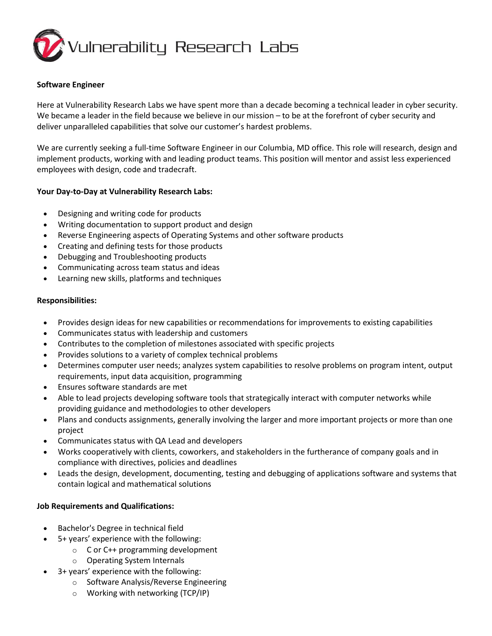

### **Software Engineer**

Here at Vulnerability Research Labs we have spent more than a decade becoming a technical leader in cyber security. We became a leader in the field because we believe in our mission – to be at the forefront of cyber security and deliver unparalleled capabilities that solve our customer's hardest problems.

We are currently seeking a full-time Software Engineer in our Columbia, MD office. This role will research, design and implement products, working with and leading product teams. This position will mentor and assist less experienced employees with design, code and tradecraft.

## **Your Day-to-Day at Vulnerability Research Labs:**

- Designing and writing code for products
- Writing documentation to support product and design
- Reverse Engineering aspects of Operating Systems and other software products
- Creating and defining tests for those products
- Debugging and Troubleshooting products
- Communicating across team status and ideas
- Learning new skills, platforms and techniques

## **Responsibilities:**

- Provides design ideas for new capabilities or recommendations for improvements to existing capabilities
- Communicates status with leadership and customers
- Contributes to the completion of milestones associated with specific projects
- Provides solutions to a variety of complex technical problems
- Determines computer user needs; analyzes system capabilities to resolve problems on program intent, output requirements, input data acquisition, programming
- Ensures software standards are met
- Able to lead projects developing software tools that strategically interact with computer networks while providing guidance and methodologies to other developers
- Plans and conducts assignments, generally involving the larger and more important projects or more than one project
- Communicates status with QA Lead and developers
- Works cooperatively with clients, coworkers, and stakeholders in the furtherance of company goals and in compliance with directives, policies and deadlines
- Leads the design, development, documenting, testing and debugging of applications software and systems that contain logical and mathematical solutions

# **Job Requirements and Qualifications:**

- Bachelor's Degree in technical field
- 5+ years' experience with the following:
	- o C or C++ programming development
	- o Operating System Internals
- 3+ years' experience with the following:
	- o Software Analysis/Reverse Engineering
	- o Working with networking (TCP/IP)